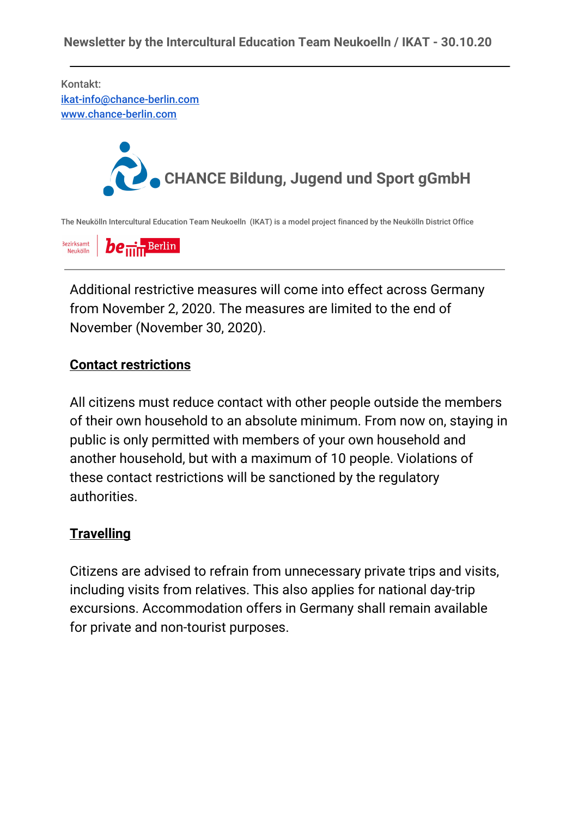Kontakt: [ikat-info@chance-berlin.com](mailto:ikat-info@chance-berlin.com) [www.chance-berlin.com](http://www.chance-berlin.com/)



The Neukölln Intercultural Education Team Neukoelln (IKAT) is a model project financed by the Neukölln District Office

Bezirksamt  $be_{\min}$  Berlin Neukölln

Additional restrictive measures will come into effect across Germany from November 2, 2020. The measures are limited to the end of November (November 30, 2020).

#### **Contact restrictions**

All citizens must reduce contact with other people outside the members of their own household to an absolute minimum. From now on, staying in public is only permitted with members of your own household and another household, but with a maximum of 10 people. Violations of these contact restrictions will be sanctioned by the regulatory authorities.

#### **Travelling**

Citizens are advised to refrain from unnecessary private trips and visits, including visits from relatives. This also applies for national day-trip excursions. Accommodation offers in Germany shall remain available for private and non-tourist purposes.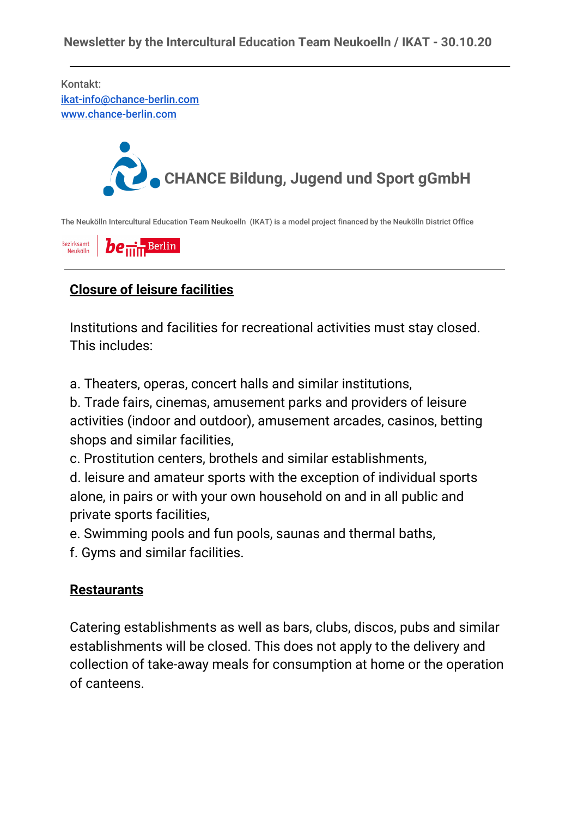Kontakt: [ikat-info@chance-berlin.com](mailto:ikat-info@chance-berlin.com) [www.chance-berlin.com](http://www.chance-berlin.com/)



The Neukölln Intercultural Education Team Neukoelln (IKAT) is a model project financed by the Neukölln District Office

Bezirksamt  $be_{\min}$  Berlin Neukölln

# **Closure of leisure facilities**

Institutions and facilities for recreational activities must stay closed. This includes:

a. Theaters, operas, concert halls and similar institutions,

b. Trade fairs, cinemas, amusement parks and providers of leisure activities (indoor and outdoor), amusement arcades, casinos, betting shops and similar facilities,

c. Prostitution centers, brothels and similar establishments,

d. leisure and amateur sports with the exception of individual sports alone, in pairs or with your own household on and in all public and private sports facilities,

e. Swimming pools and fun pools, saunas and thermal baths,

f. Gyms and similar facilities.

#### **Restaurants**

Catering establishments as well as bars, clubs, discos, pubs and similar establishments will be closed. This does not apply to the delivery and collection of take-away meals for consumption at home or the operation of canteens.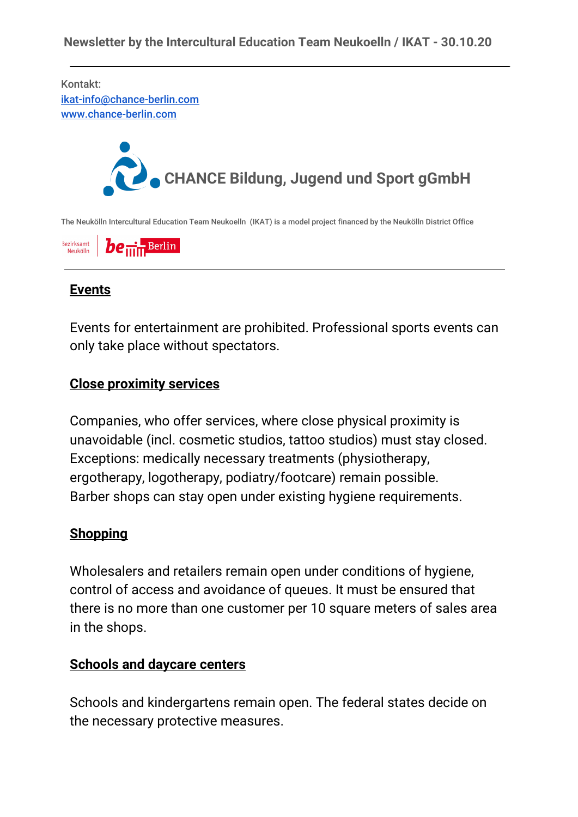Kontakt: [ikat-info@chance-berlin.com](mailto:ikat-info@chance-berlin.com) [www.chance-berlin.com](http://www.chance-berlin.com/)



The Neukölln Intercultural Education Team Neukoelln (IKAT) is a model project financed by the Neukölln District Office

Bezirksamt  $be_{\min}$  Berlin Neukölln

# **Events**

Events for entertainment are prohibited. Professional sports events can only take place without spectators.

### **Close proximity services**

Companies, who offer services, where close physical proximity is unavoidable (incl. cosmetic studios, tattoo studios) must stay closed. Exceptions: medically necessary treatments (physiotherapy, ergotherapy, logotherapy, podiatry/footcare) remain possible. Barber shops can stay open under existing hygiene requirements.

#### **Shopping**

Wholesalers and retailers remain open under conditions of hygiene, control of access and avoidance of queues. It must be ensured that there is no more than one customer per 10 square meters of sales area in the shops.

#### **Schools and daycare centers**

Schools and kindergartens remain open. The federal states decide on the necessary protective measures.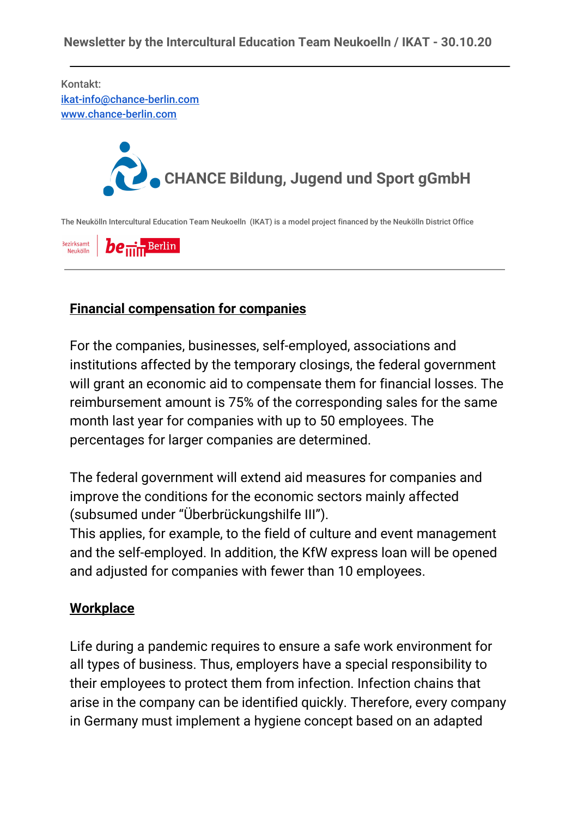Kontakt: [ikat-info@chance-berlin.com](mailto:ikat-info@chance-berlin.com) [www.chance-berlin.com](http://www.chance-berlin.com/)



The Neukölln Intercultural Education Team Neukoelln (IKAT) is a model project financed by the Neukölln District Office

Bezirksamt  $be_{\min}$ Berlin Neukölln

## **Financial compensation for companies**

For the companies, businesses, self-employed, associations and institutions affected by the temporary closings, the federal government will grant an economic aid to compensate them for financial losses. The reimbursement amount is 75% of the corresponding sales for the same month last year for companies with up to 50 employees. The percentages for larger companies are determined.

The federal government will extend aid measures for companies and improve the conditions for the economic sectors mainly affected (subsumed under "Überbrückungshilfe III").

This applies, for example, to the field of culture and event management and the self-employed. In addition, the KfW express loan will be opened and adjusted for companies with fewer than 10 employees.

## **Workplace**

Life during a pandemic requires to ensure a safe work environment for all types of business. Thus, employers have a special responsibility to their employees to protect them from infection. Infection chains that arise in the company can be identified quickly. Therefore, every company in Germany must implement a hygiene concept based on an adapted